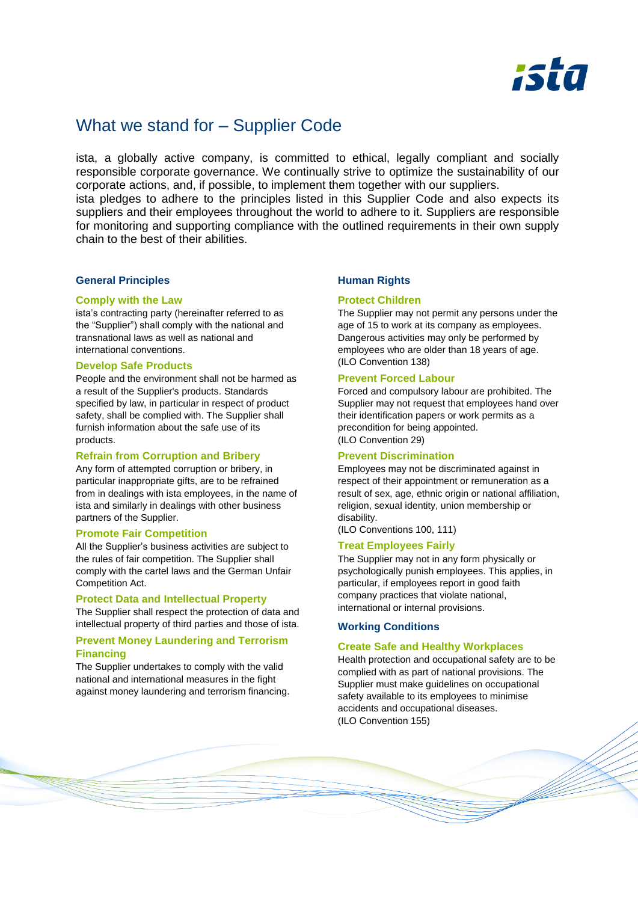

# What we stand for – Supplier Code

ista, a globally active company, is committed to ethical, legally compliant and socially responsible corporate governance. We continually strive to optimize the sustainability of our corporate actions, and, if possible, to implement them together with our suppliers.

ista pledges to adhere to the principles listed in this Supplier Code and also expects its suppliers and their employees throughout the world to adhere to it. Suppliers are responsible for monitoring and supporting compliance with the outlined requirements in their own supply chain to the best of their abilities.

## **General Principles**

#### **Comply with the Law**

ista's contracting party (hereinafter referred to as the "Supplier") shall comply with the national and transnational laws as well as national and international conventions.

## **Develop Safe Products**

People and the environment shall not be harmed as a result of the Supplier's products. Standards specified by law, in particular in respect of product safety, shall be complied with. The Supplier shall furnish information about the safe use of its products.

# **Refrain from Corruption and Bribery**

Any form of attempted corruption or bribery, in particular inappropriate gifts, are to be refrained from in dealings with ista employees, in the name of ista and similarly in dealings with other business partners of the Supplier.

## **Promote Fair Competition**

All the Supplier's business activities are subject to the rules of fair competition. The Supplier shall comply with the cartel laws and the German Unfair Competition Act.

## **Protect Data and Intellectual Property**

The Supplier shall respect the protection of data and intellectual property of third parties and those of ista.

# **Prevent Money Laundering and Terrorism Financing**

The Supplier undertakes to comply with the valid national and international measures in the fight against money laundering and terrorism financing.

# **Human Rights**

#### **Protect Children**

The Supplier may not permit any persons under the age of 15 to work at its company as employees. Dangerous activities may only be performed by employees who are older than 18 years of age. (ILO Convention 138)

#### **Prevent Forced Labour**

Forced and compulsory labour are prohibited. The Supplier may not request that employees hand over their identification papers or work permits as a precondition for being appointed. (ILO Convention 29)

## **Prevent Discrimination**

Employees may not be discriminated against in respect of their appointment or remuneration as a result of sex, age, ethnic origin or national affiliation. religion, sexual identity, union membership or disability.

(ILO Conventions 100, 111)

# **Treat Employees Fairly**

The Supplier may not in any form physically or psychologically punish employees. This applies, in particular, if employees report in good faith company practices that violate national, international or internal provisions.

## **Working Conditions**

#### **Create Safe and Healthy Workplaces**

Health protection and occupational safety are to be complied with as part of national provisions. The Supplier must make guidelines on occupational safety available to its employees to minimise accidents and occupational diseases. (ILO Convention 155)